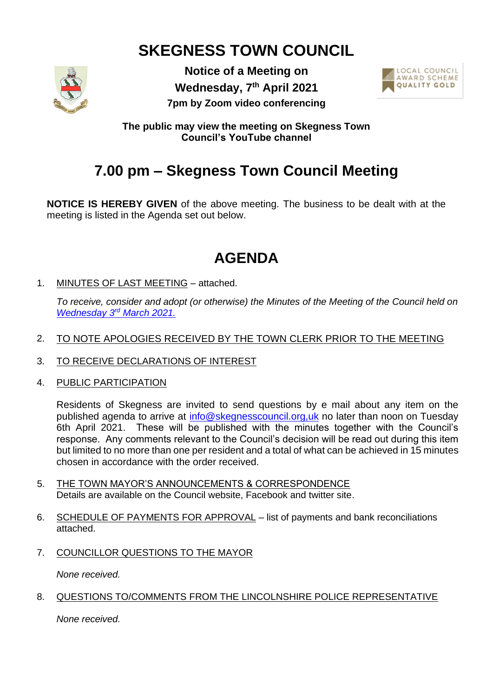# **SKEGNESS TOWN COUNCIL**



**Notice of a Meeting on Wednesday, 7 th April 2021 7pm by Zoom video conferencing**



**The public may view the meeting on Skegness Town Council's YouTube channel**

# **7.00 pm – Skegness Town Council Meeting**

**NOTICE IS HEREBY GIVEN** of the above meeting. The business to be dealt with at the meeting is listed in the Agenda set out below.

# **AGENDA**

1. MINUTES OF LAST MEETING – attached.

*To receive, consider and adopt (or otherwise) the Minutes of the Meeting of the Council held on [Wednesday 3](https://www.skegness.gov.uk/uploads/minsdraft-council-2021-03-03.pdf)rd March 2021.*

- 2. TO NOTE APOLOGIES RECEIVED BY THE TOWN CLERK PRIOR TO THE MEETING
- 3. TO RECEIVE DECLARATIONS OF INTEREST
- 4. PUBLIC PARTICIPATION

Residents of Skegness are invited to send questions by e mail about any item on the published agenda to arrive at [info@skegnesscouncil.org,uk](mailto:info@skegnesscouncil.org,uk) no later than noon on Tuesday 6th April 2021. These will be published with the minutes together with the Council's response. Any comments relevant to the Council's decision will be read out during this item but limited to no more than one per resident and a total of what can be achieved in 15 minutes chosen in accordance with the order received.

- 5. THE TOWN MAYOR'S ANNOUNCEMENTS & CORRESPONDENCE Details are available on the Council website, Facebook and twitter site.
- 6. SCHEDULE OF PAYMENTS FOR APPROVAL list of payments and bank reconciliations attached.
- 7. COUNCILLOR QUESTIONS TO THE MAYOR

*None received.*

### 8. QUESTIONS TO/COMMENTS FROM THE LINCOLNSHIRE POLICE REPRESENTATIVE

*None received.*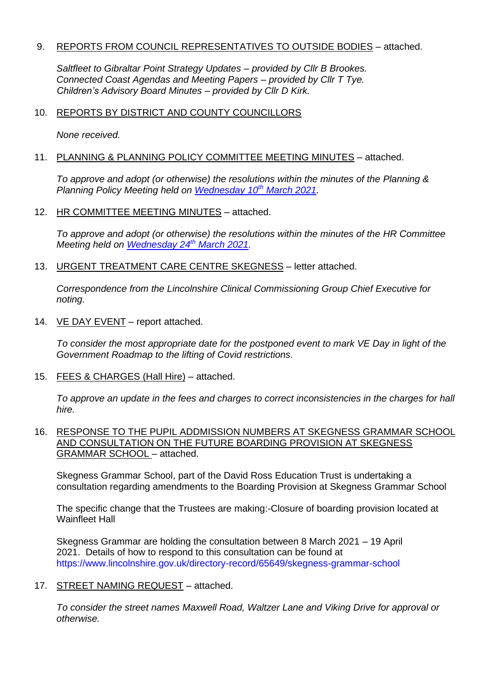#### 9. REPORTS FROM COUNCIL REPRESENTATIVES TO OUTSIDE BODIES - attached.

*Saltfleet to Gibraltar Point Strategy Updates – provided by Cllr B Brookes. Connected Coast Agendas and Meeting Papers – provided by Cllr T Tye. Children's Advisory Board Minutes – provided by Cllr D Kirk.*

#### 10. REPORTS BY DISTRICT AND COUNTY COUNCILLORS

*None received.*

#### 11. PLANNING & PLANNING POLICY COMMITTEE MEETING MINUTES - attached.

*To approve and adopt (or otherwise) the resolutions within the minutes of the Planning & Planning Policy Meeting held on [Wednesday](https://www.skegness.gov.uk/uploads/minsdraft-planning-pp-2021-03-10.pdf) 10th March 2021.*

#### 12. HR COMMITTEE MEETING MINUTES – attached.

*To approve and adopt (or otherwise) the resolutions within the minutes of the HR Committee Meeting held on [Wednesday 24](https://www.skegness.gov.uk/uploads/mins-draft-hr-appointments-2021-03-24-(002).pdf)th March 2021.*

13. URGENT TREATMENT CARE CENTRE SKEGNESS – letter attached.

*Correspondence from the Lincolnshire Clinical Commissioning Group Chief Executive for noting.*

14. VE DAY EVENT – report attached.

*To consider the most appropriate date for the postponed event to mark VE Day in light of the Government Roadmap to the lifting of Covid restrictions.*

15. FEES & CHARGES (Hall Hire) – attached.

*To approve an update in the fees and charges to correct inconsistencies in the charges for hall hire.*

16. RESPONSE TO THE PUPIL ADDMISSION NUMBERS AT SKEGNESS GRAMMAR SCHOOL AND CONSULTATION ON THE FUTURE BOARDING PROVISION AT SKEGNESS GRAMMAR SCHOOL – attached.

Skegness Grammar School, part of the David Ross Education Trust is undertaking a consultation regarding amendments to the Boarding Provision at Skegness Grammar School

The specific change that the Trustees are making:-Closure of boarding provision located at Wainfleet Hall

Skegness Grammar are holding the consultation between 8 March 2021 – 19 April 2021. Details of how to respond to this consultation can be found at [https://www.lincolnshire.gov.uk/directory-record/65649/skegness-grammar-school](https://gbr01.safelinks.protection.outlook.com/?url=https%3A%2F%2Fwww.lincolnshire.gov.uk%2Fdirectory-record%2F65649%2Fskegness-grammar-school&data=04%7C01%7CAdmissionsPolicy%40lincolnshire.gov.uk%7Ca20a32658369478da28108d8e239e2f9%7Cb4e05b92f8ce46b59b2499ba5c11e5e9%7C0%7C0%7C637508085583597456%7CUnknown%7CTWFpbGZsb3d8eyJWIjoiMC4wLjAwMDAiLCJQIjoiV2luMzIiLCJBTiI6Ik1haWwiLCJXVCI6Mn0%3D%7C1000&sdata=jKi3se4Gx1i7MZr66354CEEcKm28GqpNQ9zF8%2B%2B9waQ%3D&reserved=0)

### 17. STREET NAMING REQUEST – attached.

*To consider the street names Maxwell Road, Waltzer Lane and Viking Drive for approval or otherwise.*